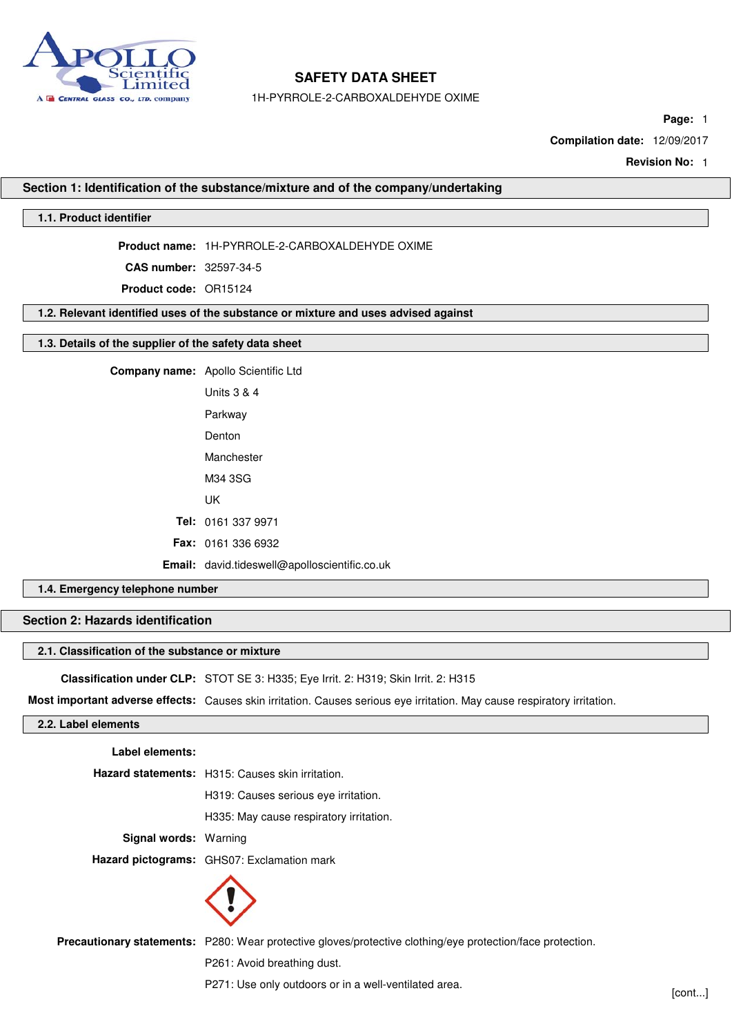

1H-PYRROLE-2-CARBOXALDEHYDE OXIME

**Page:** 1

**Compilation date:** 12/09/2017

**Revision No:** 1

### **Section 1: Identification of the substance/mixture and of the company/undertaking**

## **1.1. Product identifier**

**Product name:** 1H-PYRROLE-2-CARBOXALDEHYDE OXIME

**CAS number:** 32597-34-5

**Product code:** OR15124

# **1.2. Relevant identified uses of the substance or mixture and uses advised against**

# **1.3. Details of the supplier of the safety data sheet**

| <b>Company name:</b> Apollo Scientific Ltd     |
|------------------------------------------------|
| Units 3 & 4                                    |
| Parkway                                        |
| Denton                                         |
| Manchester                                     |
| M34 3SG                                        |
| UK                                             |
| Tel: 0161 337 9971                             |
| <b>Fax: 0161 336 6932</b>                      |
| <b>Email:</b> david.tideswell@apolloscientific |

# **1.4. Emergency telephone number**

### **Section 2: Hazards identification**

### **2.1. Classification of the substance or mixture**

**Classification under CLP:** STOT SE 3: H335; Eye Irrit. 2: H319; Skin Irrit. 2: H315

**Most important adverse effects:** Causes skin irritation. Causes serious eye irritation. May cause respiratory irritation.

**Email:** david.tideswell@apolloscientific.co.uk

### **2.2. Label elements**

| Label elements:              |                                                  |
|------------------------------|--------------------------------------------------|
|                              | Hazard statements: H315: Causes skin irritation. |
|                              | H319: Causes serious eye irritation.             |
|                              | H335: May cause respiratory irritation.          |
| <b>Signal words: Warning</b> |                                                  |
|                              | Hazard pictograms: GHS07: Exclamation mark       |
|                              |                                                  |

**Precautionary statements:** P280: Wear protective gloves/protective clothing/eye protection/face protection.

P261: Avoid breathing dust.

P271: Use only outdoors or in a well-ventilated area. [cont...]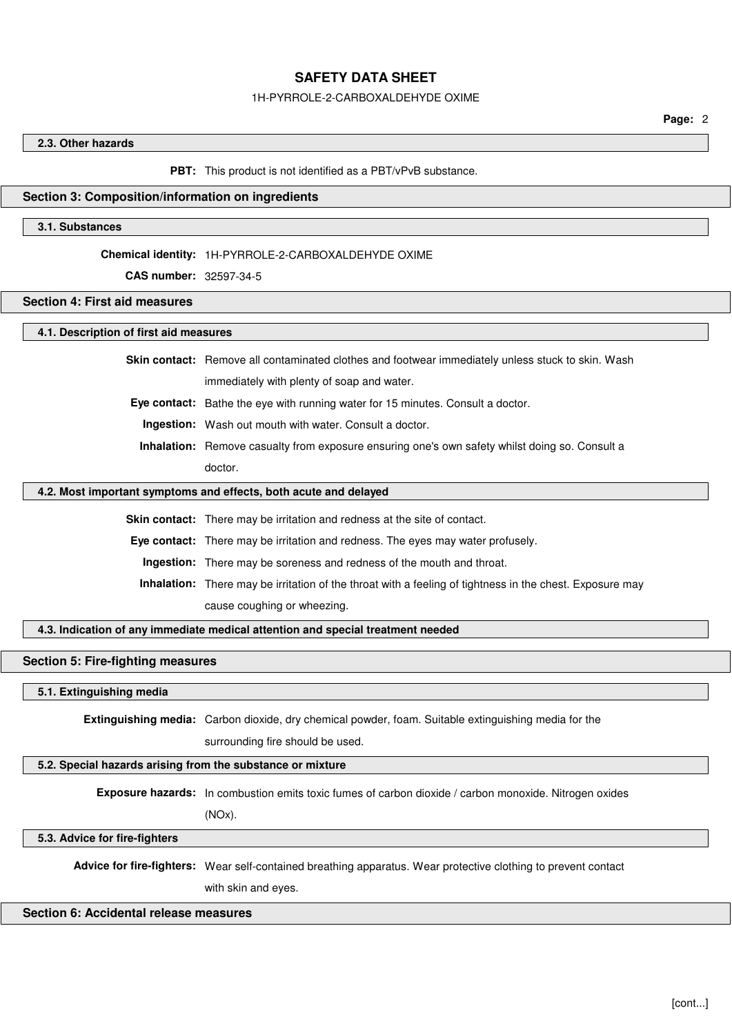#### 1H-PYRROLE-2-CARBOXALDEHYDE OXIME

### **2.3. Other hazards**

#### **PBT:** This product is not identified as a PBT/vPvB substance.

### **Section 3: Composition/information on ingredients**

### **3.1. Substances**

#### **Chemical identity:** 1H-PYRROLE-2-CARBOXALDEHYDE OXIME

**CAS number:** 32597-34-5

# **Section 4: First aid measures**

## **4.1. Description of first aid measures**

**Skin contact:** Remove all contaminated clothes and footwear immediately unless stuck to skin. Wash

immediately with plenty of soap and water.

**Eye contact:** Bathe the eye with running water for 15 minutes. Consult a doctor.

**Ingestion:** Wash out mouth with water. Consult a doctor.

**Inhalation:** Remove casualty from exposure ensuring one's own safety whilst doing so. Consult a doctor.

### **4.2. Most important symptoms and effects, both acute and delayed**

**Skin contact:** There may be irritation and redness at the site of contact.

**Eye contact:** There may be irritation and redness. The eyes may water profusely.

**Ingestion:** There may be soreness and redness of the mouth and throat.

**Inhalation:** There may be irritation of the throat with a feeling of tightness in the chest. Exposure may cause coughing or wheezing.

**4.3. Indication of any immediate medical attention and special treatment needed**

#### **Section 5: Fire-fighting measures**

## **5.1. Extinguishing media**

**Extinguishing media:** Carbon dioxide, dry chemical powder, foam. Suitable extinguishing media for the

surrounding fire should be used.

## **5.2. Special hazards arising from the substance or mixture**

**Exposure hazards:** In combustion emits toxic fumes of carbon dioxide / carbon monoxide. Nitrogen oxides

(NOx).

**5.3. Advice for fire-fighters**

**Advice for fire-fighters:** Wear self-contained breathing apparatus. Wear protective clothing to prevent contact

with skin and eyes.

### **Section 6: Accidental release measures**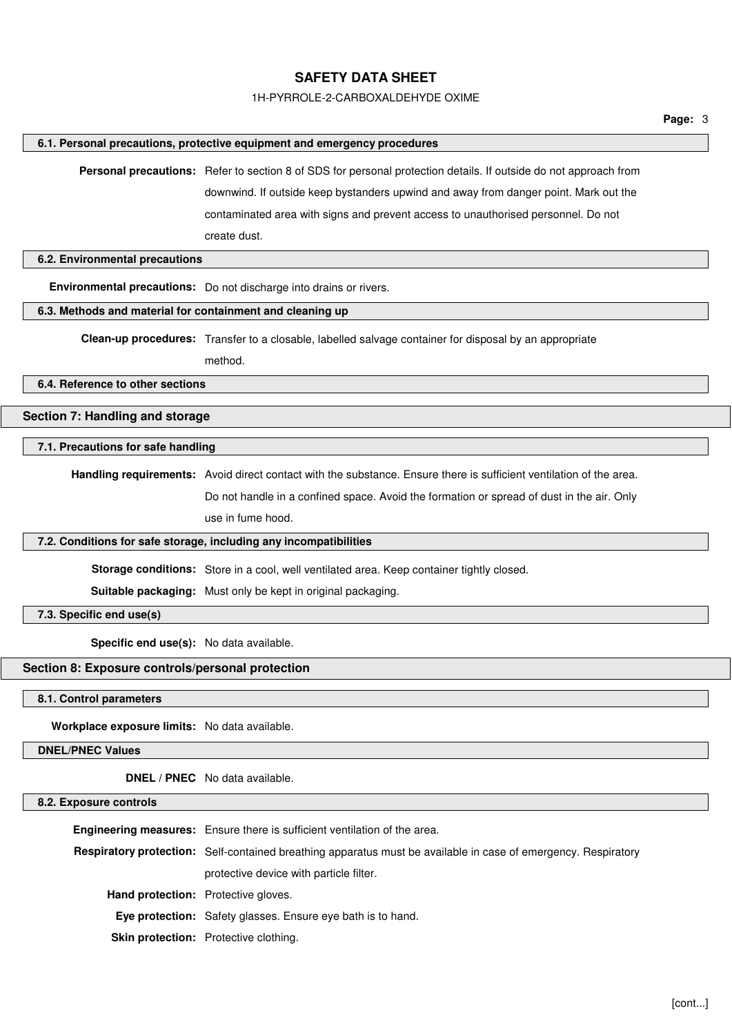### 1H-PYRROLE-2-CARBOXALDEHYDE OXIME

#### **6.1. Personal precautions, protective equipment and emergency procedures**

**Personal precautions:** Refer to section 8 of SDS for personal protection details. If outside do not approach from downwind. If outside keep bystanders upwind and away from danger point. Mark out the contaminated area with signs and prevent access to unauthorised personnel. Do not create dust.

## **6.2. Environmental precautions**

**Environmental precautions:** Do not discharge into drains or rivers.

# **6.3. Methods and material for containment and cleaning up**

**Clean-up procedures:** Transfer to a closable, labelled salvage container for disposal by an appropriate

method.

**6.4. Reference to other sections**

# **Section 7: Handling and storage**

#### **7.1. Precautions for safe handling**

**Handling requirements:** Avoid direct contact with the substance. Ensure there is sufficient ventilation of the area.

Do not handle in a confined space. Avoid the formation or spread of dust in the air. Only use in fume hood.

#### **7.2. Conditions for safe storage, including any incompatibilities**

**Storage conditions:** Store in a cool, well ventilated area. Keep container tightly closed.

**Suitable packaging:** Must only be kept in original packaging.

**7.3. Specific end use(s)**

**Specific end use(s):** No data available.

## **Section 8: Exposure controls/personal protection**

**8.1. Control parameters**

**Workplace exposure limits:** No data available.

**DNEL/PNEC Values**

**DNEL / PNEC** No data available.

### **8.2. Exposure controls**

|                                            | <b>Engineering measures:</b> Ensure there is sufficient ventilation of the area.                               |
|--------------------------------------------|----------------------------------------------------------------------------------------------------------------|
|                                            | Respiratory protection: Self-contained breathing apparatus must be available in case of emergency. Respiratory |
|                                            | protective device with particle filter.                                                                        |
| <b>Hand protection:</b> Protective gloves. |                                                                                                                |
|                                            | <b>Eye protection:</b> Safety glasses. Ensure eye bath is to hand.                                             |
|                                            | <b>Skin protection:</b> Protective clothing.                                                                   |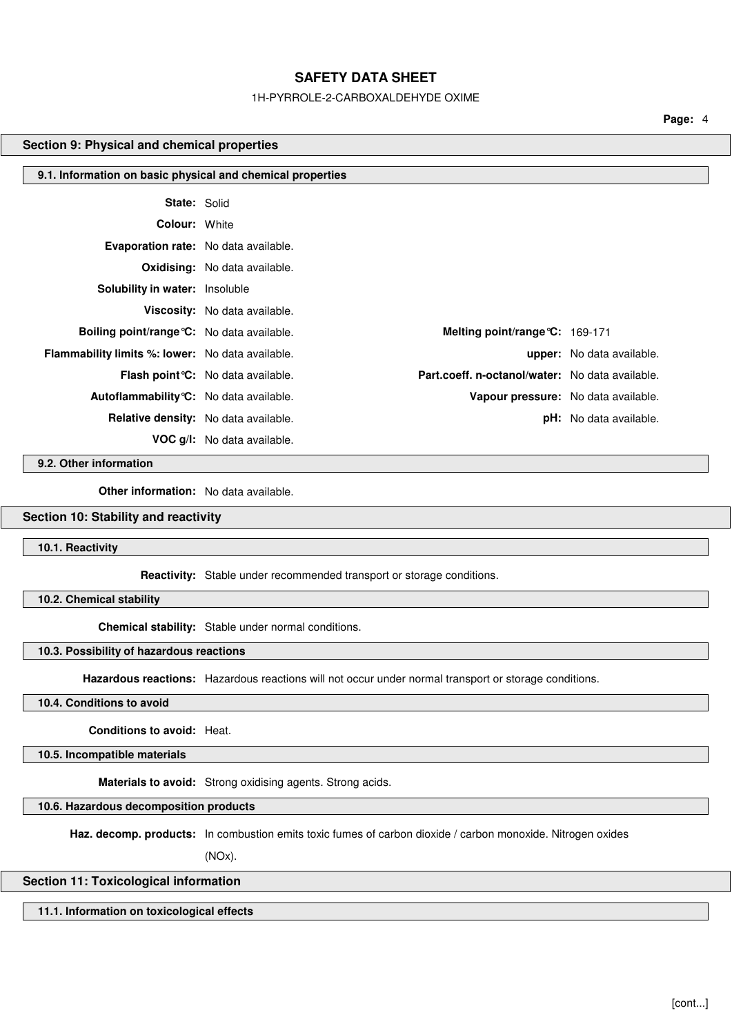### 1H-PYRROLE-2-CARBOXALDEHYDE OXIME

**Page:** 4

### **Section 9: Physical and chemical properties**

| 9.1. Information on basic physical and chemical properties |                                             |                                                 |                               |
|------------------------------------------------------------|---------------------------------------------|-------------------------------------------------|-------------------------------|
| <b>State: Solid</b>                                        |                                             |                                                 |                               |
| <b>Colour: White</b>                                       |                                             |                                                 |                               |
| Evaporation rate: No data available.                       |                                             |                                                 |                               |
|                                                            | <b>Oxidising:</b> No data available.        |                                                 |                               |
| <b>Solubility in water: Insoluble</b>                      |                                             |                                                 |                               |
|                                                            | Viscosity: No data available.               |                                                 |                               |
| <b>Boiling point/range °C:</b> No data available.          |                                             | Melting point/range °C: 169-171                 |                               |
| <b>Flammability limits %: lower:</b> No data available.    |                                             |                                                 | upper: No data available.     |
|                                                            | <b>Flash point °C:</b> No data available.   | Part.coeff. n-octanol/water: No data available. |                               |
| Autoflammability °C: No data available.                    |                                             | Vapour pressure: No data available.             |                               |
|                                                            | <b>Relative density:</b> No data available. |                                                 | <b>pH:</b> No data available. |
|                                                            | <b>VOC g/l:</b> No data available.          |                                                 |                               |

**9.2. Other information**

**Other information:** No data available.

# **Section 10: Stability and reactivity**

**10.1. Reactivity**

**Reactivity:** Stable under recommended transport or storage conditions.

**10.2. Chemical stability**

**Chemical stability:** Stable under normal conditions.

## **10.3. Possibility of hazardous reactions**

**Hazardous reactions:** Hazardous reactions will not occur under normal transport or storage conditions.

# **10.4. Conditions to avoid**

**Conditions to avoid:** Heat.

**10.5. Incompatible materials**

**Materials to avoid:** Strong oxidising agents. Strong acids.

**10.6. Hazardous decomposition products**

**Haz. decomp. products:** In combustion emits toxic fumes of carbon dioxide / carbon monoxide. Nitrogen oxides

(NOx).

## **Section 11: Toxicological information**

**11.1. Information on toxicological effects**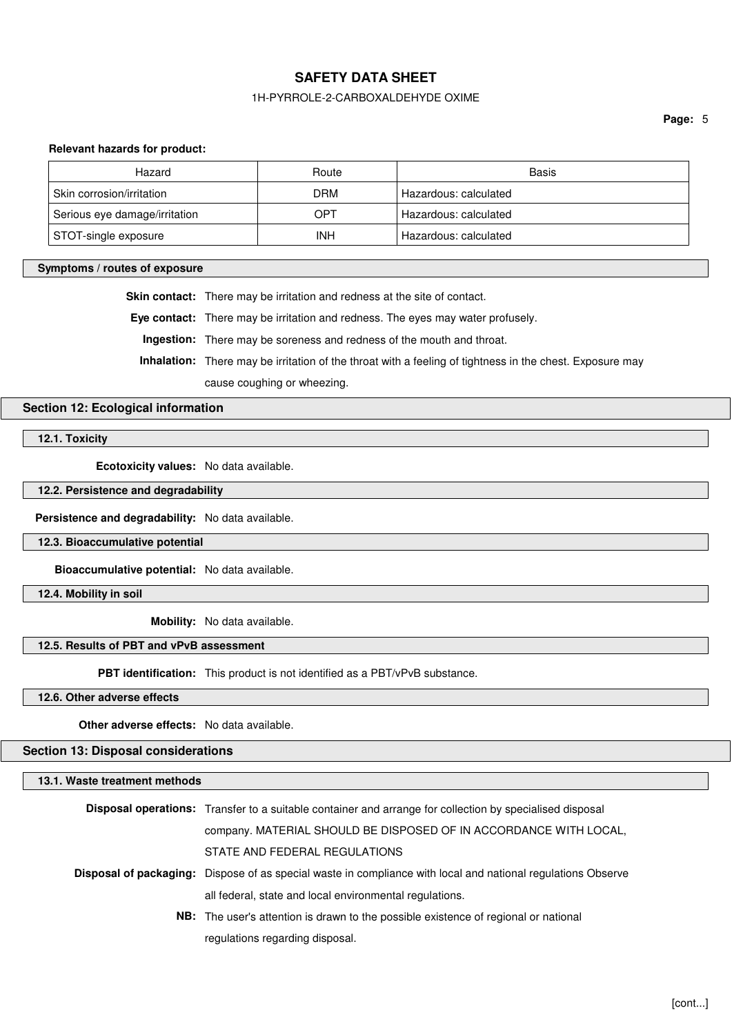## 1H-PYRROLE-2-CARBOXALDEHYDE OXIME

**Page:** 5

### **Relevant hazards for product:**

| Hazard                        | Route | Basis                 |
|-------------------------------|-------|-----------------------|
| Skin corrosion/irritation     | DRM   | Hazardous: calculated |
| Serious eye damage/irritation | OPT   | Hazardous: calculated |
| STOT-single exposure          | INH   | Hazardous: calculated |

### **Symptoms / routes of exposure**

**Skin contact:** There may be irritation and redness at the site of contact.

**Eye contact:** There may be irritation and redness. The eyes may water profusely.

**Ingestion:** There may be soreness and redness of the mouth and throat.

**Inhalation:** There may be irritation of the throat with a feeling of tightness in the chest. Exposure may

cause coughing or wheezing.

# **Section 12: Ecological information**

**12.1. Toxicity**

**Ecotoxicity values:** No data available.

**12.2. Persistence and degradability**

**Persistence and degradability:** No data available.

**12.3. Bioaccumulative potential**

**Bioaccumulative potential:** No data available.

**12.4. Mobility in soil**

**Mobility:** No data available.

# **12.5. Results of PBT and vPvB assessment**

**PBT identification:** This product is not identified as a PBT/vPvB substance.

**12.6. Other adverse effects**

**Other adverse effects:** No data available.

**Section 13: Disposal considerations**

**13.1. Waste treatment methods**

| <b>Disposal operations:</b> Transfer to a suitable container and arrange for collection by specialised disposal     |
|---------------------------------------------------------------------------------------------------------------------|
| company. MATERIAL SHOULD BE DISPOSED OF IN ACCORDANCE WITH LOCAL,                                                   |
| STATE AND FEDERAL REGULATIONS                                                                                       |
| <b>Disposal of packaging:</b> Dispose of as special waste in compliance with local and national regulations Observe |
| all federal, state and local environmental regulations.                                                             |
| <b>NB:</b> The user's attention is drawn to the possible existence of regional or national                          |
| regulations regarding disposal.                                                                                     |